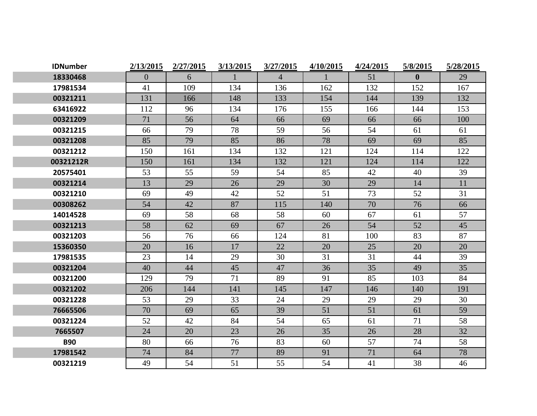| <b>IDNumber</b> | 2/13/2015 | 2/27/2015 | 3/13/2015 | 3/27/2015      | 4/10/2015 | 4/24/2015 | 5/8/2015     | 5/28/2015 |
|-----------------|-----------|-----------|-----------|----------------|-----------|-----------|--------------|-----------|
| 18330468        | $\theta$  | 6         |           | $\overline{4}$ |           | 51        | $\mathbf{0}$ | 29        |
| 17981534        | 41        | 109       | 134       | 136            | 162       | 132       | 152          | 167       |
| 00321211        | 131       | 166       | 148       | 133            | 154       | 144       | 139          | 132       |
| 63416922        | 112       | 96        | 134       | 176            | 155       | 166       | 144          | 153       |
| 00321209        | 71        | 56        | 64        | 66             | 69        | 66        | 66           | 100       |
| 00321215        | 66        | 79        | 78        | 59             | 56        | 54        | 61           | 61        |
| 00321208        | 85        | 79        | 85        | 86             | 78        | 69        | 69           | 85        |
| 00321212        | 150       | 161       | 134       | 132            | 121       | 124       | 114          | 122       |
| 00321212R       | 150       | 161       | 134       | 132            | 121       | 124       | 114          | 122       |
| 20575401        | 53        | 55        | 59        | 54             | 85        | 42        | 40           | 39        |
| 00321214        | 13        | 29        | 26        | 29             | 30        | 29        | 14           | 11        |
| 00321210        | 69        | 49        | 42        | 52             | 51        | 73        | 52           | 31        |
| 00308262        | 54        | 42        | 87        | 115            | 140       | 70        | 76           | 66        |
| 14014528        | 69        | 58        | 68        | 58             | 60        | 67        | 61           | 57        |
| 00321213        | 58        | 62        | 69        | 67             | 26        | 54        | 52           | 45        |
| 00321203        | 56        | 76        | 66        | 124            | 81        | 100       | 83           | 87        |
| 15360350        | 20        | 16        | 17        | 22             | 20        | 25        | 20           | 20        |
| 17981535        | 23        | 14        | 29        | 30             | 31        | 31        | 44           | 39        |
| 00321204        | 40        | 44        | 45        | 47             | 36        | 35        | 49           | 35        |
| 00321200        | 129       | 79        | 71        | 89             | 91        | 85        | 103          | 84        |
| 00321202        | 206       | 144       | 141       | 145            | 147       | 146       | 140          | 191       |
| 00321228        | 53        | 29        | 33        | 24             | 29        | 29        | 29           | 30        |
| 76665506        | 70        | 69        | 65        | 39             | 51        | 51        | 61           | 59        |
| 00321224        | 52        | 42        | 84        | 54             | 65        | 61        | 71           | 58        |
| 7665507         | 24        | 20        | 23        | 26             | 35        | 26        | 28           | 32        |
| <b>B90</b>      | 80        | 66        | 76        | 83             | 60        | 57        | 74           | 58        |
| 17981542        | 74        | 84        | 77        | 89             | 91        | 71        | 64           | 78        |
| 00321219        | 49        | 54        | 51        | 55             | 54        | 41        | 38           | 46        |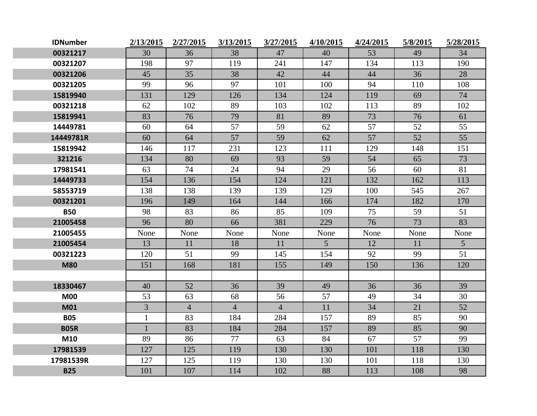| <b>IDNumber</b> | 2/13/2015      | 2/27/2015      | 3/13/2015      | 3/27/2015      | 4/10/2015 | 4/24/2015 | 5/8/2015 | 5/28/2015       |
|-----------------|----------------|----------------|----------------|----------------|-----------|-----------|----------|-----------------|
| 00321217        | 30             | 36             | 38             | 47             | 40        | 53        | 49       | 34              |
| 00321207        | 198            | 97             | 119            | 241            | 147       | 134       | 113      | 190             |
| 00321206        | 45             | 35             | 38             | 42             | 44        | 44        | 36       | 28              |
| 00321205        | 99             | 96             | 97             | 101            | 100       | 94        | 110      | 108             |
| 15819940        | 131            | 129            | 126            | 134            | 124       | 119       | 69       | 74              |
| 00321218        | 62             | 102            | 89             | 103            | 102       | 113       | 89       | 102             |
| 15819941        | 83             | 76             | 79             | 81             | 89        | 73        | 76       | 61              |
| 14449781        | 60             | 64             | 57             | 59             | 62        | 57        | 52       | 55              |
| 14449781R       | 60             | 64             | 57             | 59             | 62        | 57        | 52       | 55              |
| 15819942        | 146            | 117            | 231            | 123            | 111       | 129       | 148      | 151             |
| 321216          | 134            | 80             | 69             | 93             | 59        | 54        | 65       | 73              |
| 17981541        | 63             | 74             | 24             | 94             | 29        | 56        | 60       | 81              |
| 14449733        | 154            | 136            | 154            | 124            | 121       | 132       | 162      | 113             |
| 58553719        | 138            | 138            | 139            | 139            | 129       | 100       | 545      | 267             |
| 00321201        | 196            | 149            | 164            | 144            | 166       | 174       | 182      | 170             |
| <b>B50</b>      | 98             | 83             | 86             | 85             | 109       | 75        | 59       | 51              |
| 21005458        | 96             | 80             | 66             | 381            | 229       | 76        | 73       | 83              |
| 21005455        | None           | None           | None           | None           | None      | None      | None     | None            |
| 21005454        | 13             | 11             | 18             | 11             | 5         | 12        | 11       | $5\overline{)}$ |
| 00321223        | 120            | 51             | 99             | 145            | 154       | 92        | 99       | 51              |
| <b>M80</b>      | 151            | 168            | 181            | 155            | 149       | 150       | 136      | 120             |
|                 |                |                |                |                |           |           |          |                 |
| 18330467        | 40             | 52             | 36             | 39             | 49        | 36        | 36       | 39              |
| <b>M00</b>      | 53             | 63             | 68             | 56             | 57        | 49        | 34       | 30              |
| <b>M01</b>      | $\overline{3}$ | $\overline{4}$ | $\overline{4}$ | $\overline{4}$ | 11        | 34        | 21       | 52              |
| <b>B05</b>      | $\mathbf{1}$   | 83             | 184            | 284            | 157       | 89        | 85       | 90              |
| <b>B05R</b>     | $\mathbf{1}$   | 83             | 184            | 284            | 157       | 89        | 85       | 90              |
| M10             | 89             | 86             | 77             | 63             | 84        | 67        | 57       | 99              |
| 17981539        | 127            | 125            | 119            | 130            | 130       | 101       | 118      | 130             |
| 17981539R       | 127            | 125            | 119            | 130            | 130       | 101       | 118      | 130             |
| <b>B25</b>      | 101            | 107            | 114            | 102            | 88        | 113       | 108      | 98              |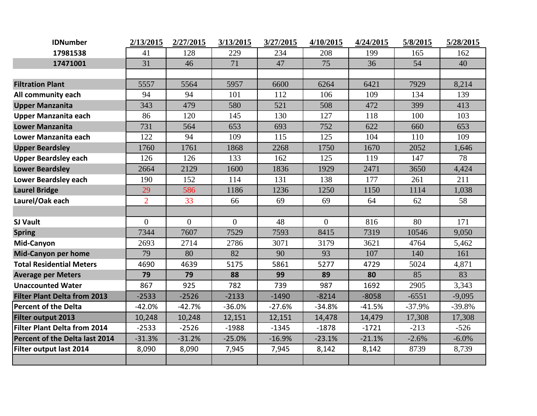| <b>IDNumber</b>                     | 2/13/2015      | 2/27/2015      | 3/13/2015      | 3/27/2015 | 4/10/2015      | 4/24/2015 | 5/8/2015 | 5/28/2015 |
|-------------------------------------|----------------|----------------|----------------|-----------|----------------|-----------|----------|-----------|
| 17981538                            | 41             | 128            | 229            | 234       | 208            | 199       | 165      | 162       |
| 17471001                            | 31             | 46             | 71             | 47        | 75             | 36        | 54       | 40        |
|                                     |                |                |                |           |                |           |          |           |
| <b>Filtration Plant</b>             | 5557           | 5564           | 5957           | 6600      | 6264           | 6421      | 7929     | 8,214     |
| All community each                  | 94             | 94             | 101            | 112       | 106            | 109       | 134      | 139       |
| <b>Upper Manzanita</b>              | 343            | 479            | 580            | 521       | 508            | 472       | 399      | 413       |
| <b>Upper Manzanita each</b>         | 86             | 120            | 145            | 130       | 127            | 118       | 100      | 103       |
| <b>Lower Manzanita</b>              | 731            | 564            | 653            | 693       | 752            | 622       | 660      | 653       |
| Lower Manzanita each                | 122            | 94             | 109            | 115       | 125            | 104       | 110      | 109       |
| <b>Upper Beardsley</b>              | 1760           | 1761           | 1868           | 2268      | 1750           | 1670      | 2052     | 1,646     |
| <b>Upper Beardsley each</b>         | 126            | 126            | 133            | 162       | 125            | 119       | 147      | 78        |
| <b>Lower Beardsley</b>              | 2664           | 2129           | 1600           | 1836      | 1929           | 2471      | 3650     | 4,424     |
| <b>Lower Beardsley each</b>         | 190            | 152            | 114            | 131       | 138            | 177       | 261      | 211       |
| <b>Laurel Bridge</b>                | 29             | 586            | 1186           | 1236      | 1250           | 1150      | 1114     | 1,038     |
| Laurel/Oak each                     | $\overline{2}$ | 33             | 66             | 69        | 69             | 64        | 62       | 58        |
|                                     |                |                |                |           |                |           |          |           |
| <b>SJ Vault</b>                     | $\overline{0}$ | $\overline{0}$ | $\overline{0}$ | 48        | $\overline{0}$ | 816       | 80       | 171       |
| <b>Spring</b>                       | 7344           | 7607           | 7529           | 7593      | 8415           | 7319      | 10546    | 9,050     |
| Mid-Canyon                          | 2693           | 2714           | 2786           | 3071      | 3179           | 3621      | 4764     | 5,462     |
| <b>Mid-Canyon per home</b>          | 79             | 80             | 82             | 90        | 93             | 107       | 140      | 161       |
| <b>Total Residential Meters</b>     | 4690           | 4639           | 5175           | 5861      | 5277           | 4729      | 5024     | 4,871     |
| <b>Average per Meters</b>           | 79             | 79             | 88             | 99        | 89             | 80        | 85       | 83        |
| <b>Unaccounted Water</b>            | 867            | 925            | 782            | 739       | 987            | 1692      | 2905     | 3,343     |
| <b>Filter Plant Delta from 2013</b> | $-2533$        | $-2526$        | $-2133$        | $-1490$   | $-8214$        | $-8058$   | $-6551$  | $-9,095$  |
| <b>Percent of the Delta</b>         | $-42.0%$       | $-42.7%$       | $-36.0%$       | $-27.6%$  | $-34.8%$       | $-41.5%$  | $-37.9%$ | $-39.8%$  |
| Filter output 2013                  | 10,248         | 10,248         | 12,151         | 12,151    | 14,478         | 14,479    | 17,308   | 17,308    |
| Filter Plant Delta from 2014        | $-2533$        | $-2526$        | $-1988$        | $-1345$   | $-1878$        | $-1721$   | $-213$   | $-526$    |
| Percent of the Delta last 2014      | $-31.3%$       | $-31.2%$       | $-25.0%$       | $-16.9%$  | $-23.1%$       | $-21.1%$  | $-2.6%$  | $-6.0\%$  |
| Filter output last 2014             | 8,090          | 8,090          | 7,945          | 7,945     | 8,142          | 8,142     | 8739     | 8,739     |
|                                     |                |                |                |           |                |           |          |           |